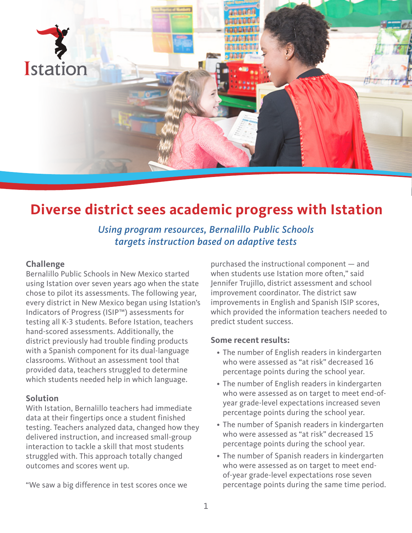

# **Diverse district sees academic progress with Istation**

*Using program resources, Bernalillo Public Schools targets instruction based on adaptive tests*

#### **Challenge**

Bernalillo Public Schools in New Mexico started using Istation over seven years ago when the state chose to pilot its assessments. The following year, every district in New Mexico began using Istation's Indicators of Progress (ISIP™) assessments for testing all K-3 students. Before Istation, teachers hand-scored assessments. Additionally, the district previously had trouble finding products with a Spanish component for its dual-language classrooms. Without an assessment tool that provided data, teachers struggled to determine which students needed help in which language.

## **Solution**

With Istation, Bernalillo teachers had immediate data at their fingertips once a student finished testing. Teachers analyzed data, changed how they delivered instruction, and increased small-group interaction to tackle a skill that most students struggled with. This approach totally changed outcomes and scores went up.

"We saw a big difference in test scores once we

purchased the instructional component — and when students use Istation more often," said Jennifer Trujillo, district assessment and school improvement coordinator. The district saw improvements in English and Spanish ISIP scores, which provided the information teachers needed to predict student success.

#### **Some recent results:**

- The number of English readers in kindergarten who were assessed as "at risk" decreased 16 percentage points during the school year.
- The number of English readers in kindergarten who were assessed as on target to meet end-ofyear grade-level expectations increased seven percentage points during the school year.
- The number of Spanish readers in kindergarten who were assessed as "at risk" decreased 15 percentage points during the school year.
- The number of Spanish readers in kindergarten who were assessed as on target to meet endof-year grade-level expectations rose seven percentage points during the same time period.